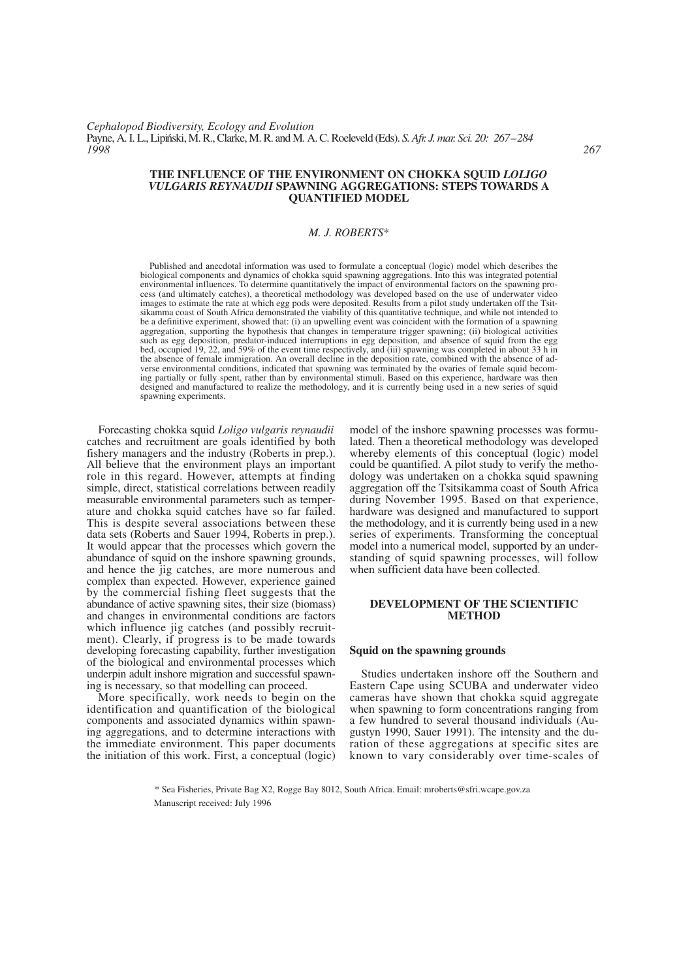#### **THE INFLUENCE OF THE ENVIRONMENT ON CHOKKA SQUID** *LOLIGO VULGARIS REYNAUDII* **SPAWNING AGGREGATIONS: STEPS TOWARDS A QUANTIFIED MODEL**

## *M. J. ROBERTS*\*

Published and anecdotal information was used to formulate a conceptual (logic) model which describes the biological components and dynamics of chokka squid spawning aggregations. Into this was integrated potential environmental influences. To determine quantitatively the impact of environmental factors on the spawning process (and ultimately catches), a theoretical methodology was developed based on the use of underwater video images to estimate the rate at which egg pods were deposited. Results from a pilot study undertaken off the Tsitsikamma coast of South Africa demonstrated the viability of this quantitative technique, and while not intended to be a definitive experiment, showed that: (i) an upwelling event was coincident with the formation of a spawning aggregation, supporting the hypothesis that changes in temperature trigger spawning; (ii) biological activities such as egg deposition, predator-induced interruptions in egg deposition, and absence of squid from the egg bed, occupied 19, 22, and 59% of the event time respectively, and (iii) spawning was completed in about 33 h in the absence of female immigration. An overall decline in the deposition rate, combined with the absence of adverse environmental conditions, indicated that spawning was terminated by the ovaries of female squid becoming partially or fully spent, rather than by environmental stimuli. Based on this experience, hardware was then designed and manufactured to realize the methodology, and it is currently being used in a new series of squid spawning experiments.

Forecasting chokka squid *Loligo vulgaris reynaudii* catches and recruitment are goals identified by both fishery managers and the industry (Roberts in prep.). All believe that the environment plays an important role in this regard. However, attempts at finding simple, direct, statistical correlations between readily measurable environmental parameters such as temperature and chokka squid catches have so far failed. This is despite several associations between these data sets (Roberts and Sauer 1994, Roberts in prep.). It would appear that the processes which govern the abundance of squid on the inshore spawning grounds, and hence the jig catches, are more numerous and complex than expected. However, experience gained by the commercial fishing fleet suggests that the abundance of active spawning sites, their size (biomass) and changes in environmental conditions are factors which influence jig catches (and possibly recruitment). Clearly, if progress is to be made towards developing forecasting capability, further investigation of the biological and environmental processes which underpin adult inshore migration and successful spawning is necessary, so that modelling can proceed.

More specifically, work needs to begin on the identification and quantification of the biological components and associated dynamics within spawning aggregations, and to determine interactions with the immediate environment. This paper documents the initiation of this work. First, a conceptual (logic)

model of the inshore spawning processes was formulated. Then a theoretical methodology was developed whereby elements of this conceptual (logic) model could be quantified. A pilot study to verify the methodology was undertaken on a chokka squid spawning aggregation off the Tsitsikamma coast of South Africa during November 1995. Based on that experience, hardware was designed and manufactured to support the methodology, and it is currently being used in a new series of experiments. Transforming the conceptual model into a numerical model, supported by an understanding of squid spawning processes, will follow when sufficient data have been collected.

### **DEVELOPMENT OF THE SCIENTIFIC METHOD**

#### **Squid on the spawning grounds**

Studies undertaken inshore off the Southern and Eastern Cape using SCUBA and underwater video cameras have shown that chokka squid aggregate when spawning to form concentrations ranging from a few hundred to several thousand individuals (Augustyn 1990, Sauer 1991). The intensity and the duration of these aggregations at specific sites are known to vary considerably over time-scales of

\* Sea Fisheries, Private Bag X2, Rogge Bay 8012, South Africa. Email: mroberts@sfri.wcape.gov.za Manuscript received: July 1996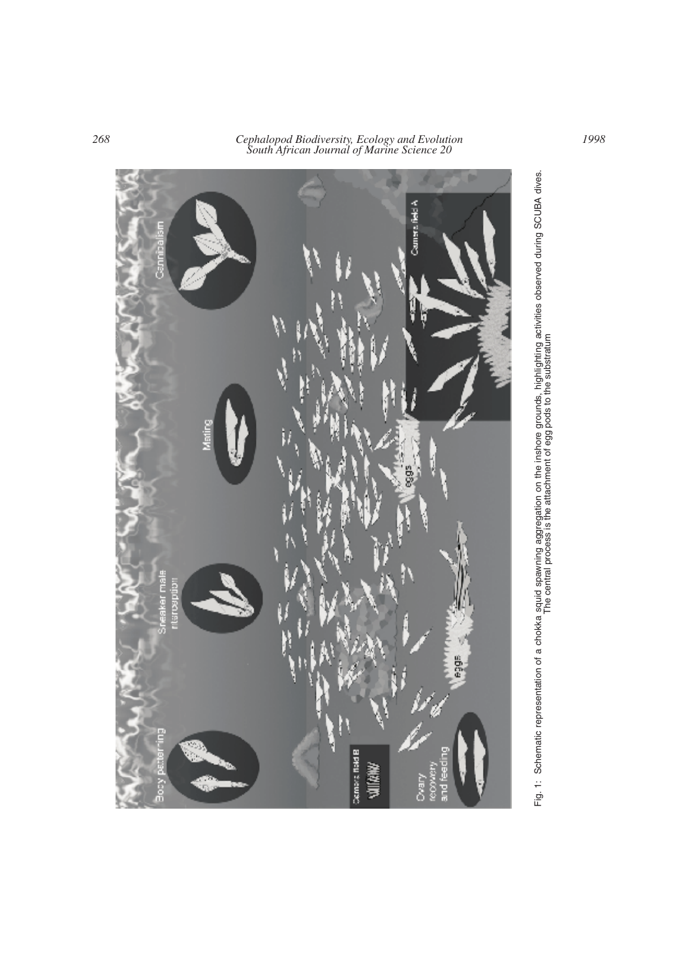

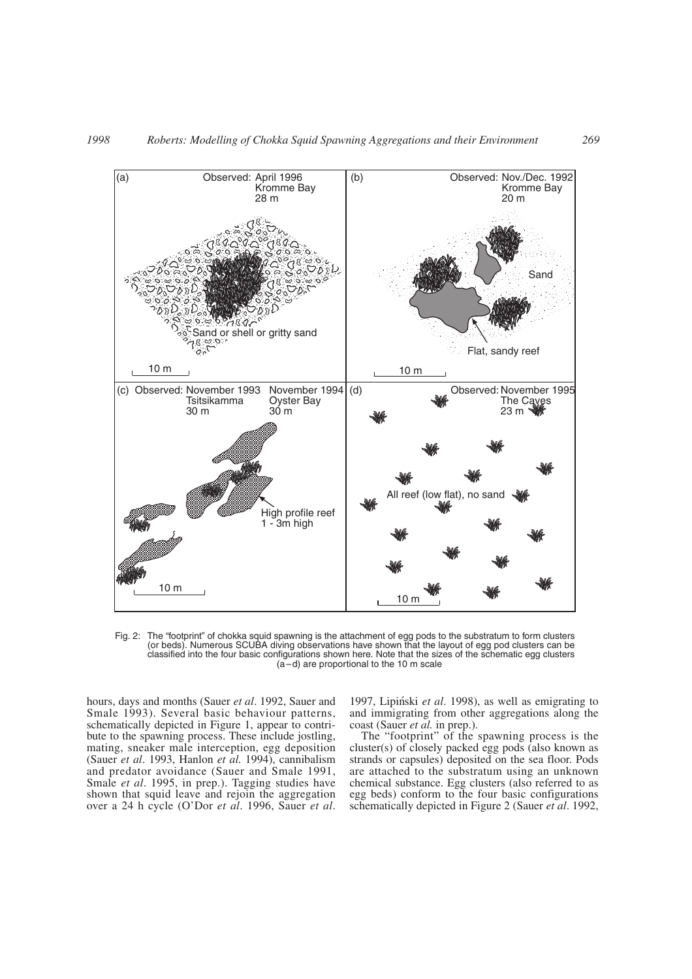

Fig. 2: The "footprint" of chokka squid spawning is the attachment of egg pods to the substratum to form clusters (or beds). Numerous SCUBA diving observations have shown that the layout of egg pod clusters can be classified into the four basic configurations shown here. Note that the sizes of the schematic egg clusters (a–d) are proportional to the 10 m scale

hours, days and months (Sauer *et al*. 1992, Sauer and Smale 1993). Several basic behaviour patterns, schematically depicted in Figure 1, appear to contribute to the spawning process. These include jostling, mating, sneaker male interception, egg deposition (Sauer *et al*. 1993, Hanlon *et al.* 1994), cannibalism and predator avoidance (Sauer and Smale 1991, Smale *et al*. 1995, in prep.). Tagging studies have shown that squid leave and rejoin the aggregation over a 24 h cycle (O'Dor *et al*. 1996, Sauer *et al*. 1997, Lipin´ski *et al*. 1998), as well as emigrating to and immigrating from other aggregations along the coast (Sauer *et al.* in prep.).

The "footprint" of the spawning process is the cluster(s) of closely packed egg pods (also known as strands or capsules) deposited on the sea floor. Pods are attached to the substratum using an unknown chemical substance. Egg clusters (also referred to as egg beds) conform to the four basic configurations schematically depicted in Figure 2 (Sauer *et al*. 1992,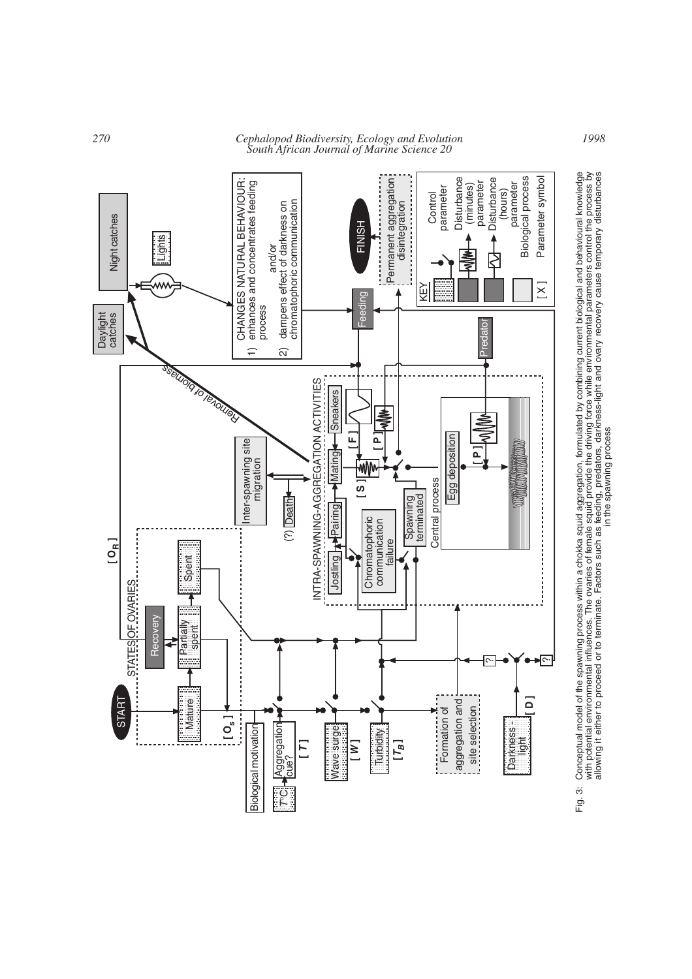

*<sup>270</sup> Cephalopod Biodiversity, Ecology and Evolution South African Journal of Marine Science 20*

Conceptual model of the spawning process within a chokka squid aggregation, formulated by combining current biological and behavioural knowledge<br>with potential environmental influences. The ovaries of female squid provide Fig. 3: Conceptual model of the spawning process within a chokka squid aggregation, formulated by combining current biological and behavioural knowledge with potential environmental influences. The ovaries of female squid provide the driving force while environmental parameters control the process by allowing it either to proceed or to terminate. Factors such as feeding, predators, darkness-light and ovary recovery cause temporary disturbances in the spawning processFig. 3: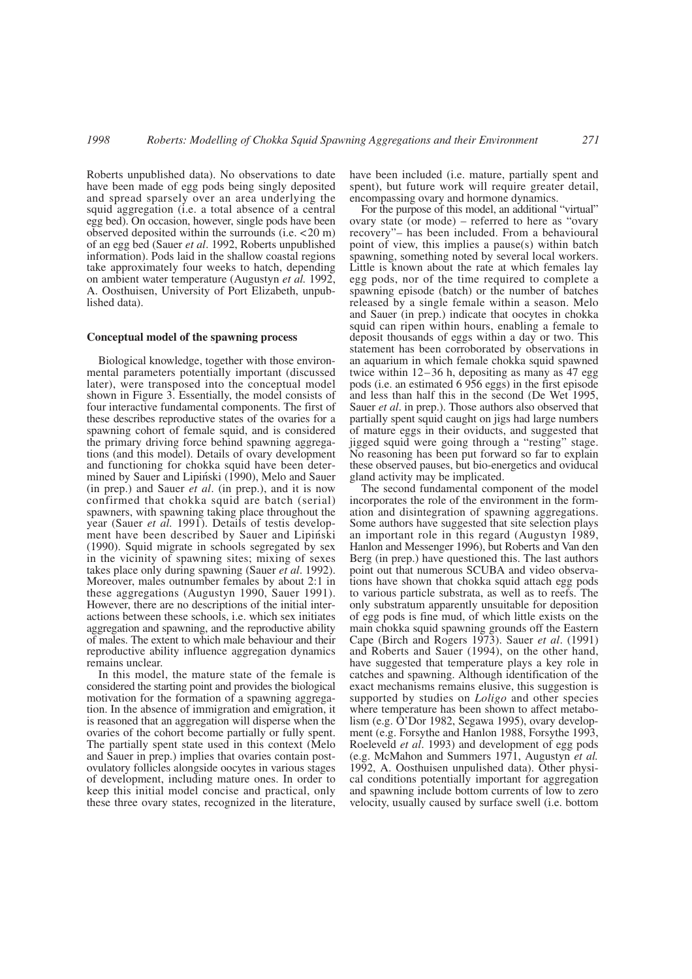Roberts unpublished data). No observations to date have been made of egg pods being singly deposited and spread sparsely over an area underlying the squid aggregation (i.e. a total absence of a central egg bed). On occasion, however, single pods have been observed deposited within the surrounds (i.e. <20 m) of an egg bed (Sauer *et al*. 1992, Roberts unpublished information). Pods laid in the shallow coastal regions take approximately four weeks to hatch, depending on ambient water temperature (Augustyn *et al.* 1992, A. Oosthuisen, University of Port Elizabeth, unpublished data).

#### **Conceptual model of the spawning process**

Biological knowledge, together with those environmental parameters potentially important (discussed later), were transposed into the conceptual model shown in Figure 3. Essentially, the model consists of four interactive fundamental components. The first of these describes reproductive states of the ovaries for a spawning cohort of female squid, and is considered the primary driving force behind spawning aggregations (and this model). Details of ovary development and functioning for chokka squid have been determined by Sauer and Lipinski (1990), Melo and Sauer (in prep.) and Sauer *et al*. (in prep.), and it is now confirmed that chokka squid are batch (serial) spawners, with spawning taking place throughout the year (Sauer *et al.* 1991). Details of testis development have been described by Sauer and Lipiński (1990). Squid migrate in schools segregated by sex in the vicinity of spawning sites; mixing of sexes takes place only during spawning (Sauer *et al*. 1992). Moreover, males outnumber females by about 2:1 in these aggregations (Augustyn 1990, Sauer 1991). However, there are no descriptions of the initial interactions between these schools, i.e. which sex initiates aggregation and spawning, and the reproductive ability of males. The extent to which male behaviour and their reproductive ability influence aggregation dynamics remains unclear.

In this model, the mature state of the female is considered the starting point and provides the biological motivation for the formation of a spawning aggregation. In the absence of immigration and emigration, it is reasoned that an aggregation will disperse when the ovaries of the cohort become partially or fully spent. The partially spent state used in this context (Melo and Sauer in prep.) implies that ovaries contain postovulatory follicles alongside oocytes in various stages of development, including mature ones. In order to keep this initial model concise and practical, only these three ovary states, recognized in the literature, have been included (i.e. mature, partially spent and spent), but future work will require greater detail, encompassing ovary and hormone dynamics.

For the purpose of this model, an additional "virtual" ovary state (or mode) – referred to here as "ovary recovery"– has been included. From a behavioural point of view, this implies a pause(s) within batch spawning, something noted by several local workers. Little is known about the rate at which females lay egg pods, nor of the time required to complete a spawning episode (batch) or the number of batches released by a single female within a season. Melo and Sauer (in prep.) indicate that oocytes in chokka squid can ripen within hours, enabling a female to deposit thousands of eggs within a day or two. This statement has been corroborated by observations in an aquarium in which female chokka squid spawned twice within  $12-36$  h, depositing as many as 47 egg pods (i.e. an estimated 6 956 eggs) in the first episode and less than half this in the second (De Wet 1995, Sauer *et al*. in prep.). Those authors also observed that partially spent squid caught on jigs had large numbers of mature eggs in their oviducts, and suggested that jigged squid were going through a "resting" stage. No reasoning has been put forward so far to explain these observed pauses, but bio-energetics and oviducal gland activity may be implicated.

The second fundamental component of the model incorporates the role of the environment in the formation and disintegration of spawning aggregations. Some authors have suggested that site selection plays an important role in this regard (Augustyn 1989, Hanlon and Messenger 1996), but Roberts and Van den Berg (in prep.) have questioned this. The last authors point out that numerous SCUBA and video observations have shown that chokka squid attach egg pods to various particle substrata, as well as to reefs. The only substratum apparently unsuitable for deposition of egg pods is fine mud, of which little exists on the main chokka squid spawning grounds off the Eastern Cape (Birch and Rogers 1973). Sauer *et al*. (1991) and Roberts and Sauer (1994), on the other hand, have suggested that temperature plays a key role in catches and spawning. Although identification of the exact mechanisms remains elusive, this suggestion is supported by studies on *Loligo* and other species where temperature has been shown to affect metabolism (e.g.  $\ddot{O}$ 'Dor 1982, Segawa 1995), ovary development (e.g. Forsythe and Hanlon 1988, Forsythe 1993, Roeleveld *et al*. 1993) and development of egg pods (e.g. McMahon and Summers 1971, Augustyn *et al.* 1992, A. Oosthuisen unpulished data). Other physical conditions potentially important for aggregation and spawning include bottom currents of low to zero velocity, usually caused by surface swell (i.e. bottom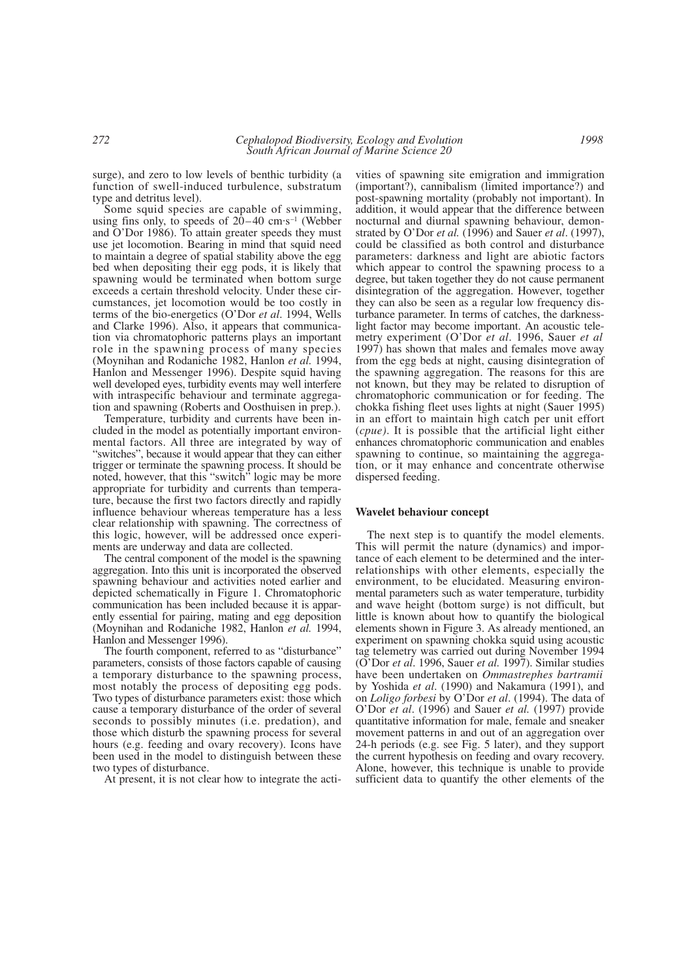surge), and zero to low levels of benthic turbidity (a function of swell-induced turbulence, substratum type and detritus level).

Some squid species are capable of swimming, using fins only, to speeds of  $20-40$  cm·s<sup>-1</sup> (Webber and O'Dor 1986). To attain greater speeds they must use jet locomotion. Bearing in mind that squid need to maintain a degree of spatial stability above the egg bed when depositing their egg pods, it is likely that spawning would be terminated when bottom surge exceeds a certain threshold velocity. Under these circumstances, jet locomotion would be too costly in terms of the bio-energetics (O'Dor *et al*. 1994, Wells and Clarke 1996). Also, it appears that communication via chromatophoric patterns plays an important role in the spawning process of many species (Moynihan and Rodaniche 1982, Hanlon *et al.* 1994, Hanlon and Messenger 1996). Despite squid having well developed eyes, turbidity events may well interfere with intraspecific behaviour and terminate aggregation and spawning (Roberts and Oosthuisen in prep.).

Temperature, turbidity and currents have been included in the model as potentially important environmental factors. All three are integrated by way of "switches", because it would appear that they can either trigger or terminate the spawning process. It should be noted, however, that this "switch" logic may be more appropriate for turbidity and currents than temperature, because the first two factors directly and rapidly influence behaviour whereas temperature has a less clear relationship with spawning. The correctness of this logic, however, will be addressed once experiments are underway and data are collected.

The central component of the model is the spawning aggregation. Into this unit is incorporated the observed spawning behaviour and activities noted earlier and depicted schematically in Figure 1. Chromatophoric communication has been included because it is apparently essential for pairing, mating and egg deposition (Moynihan and Rodaniche 1982, Hanlon *et al.* 1994, Hanlon and Messenger 1996).

The fourth component, referred to as "disturbance" parameters, consists of those factors capable of causing a temporary disturbance to the spawning process, most notably the process of depositing egg pods. Two types of disturbance parameters exist: those which cause a temporary disturbance of the order of several seconds to possibly minutes (i.e. predation), and those which disturb the spawning process for several hours (e.g. feeding and ovary recovery). Icons have been used in the model to distinguish between these two types of disturbance.

At present, it is not clear how to integrate the acti-

vities of spawning site emigration and immigration (important?), cannibalism (limited importance?) and post-spawning mortality (probably not important). In addition, it would appear that the difference between nocturnal and diurnal spawning behaviour, demonstrated by O'Dor *et al.* (1996) and Sauer *et al*. (1997), could be classified as both control and disturbance parameters: darkness and light are abiotic factors which appear to control the spawning process to a degree, but taken together they do not cause permanent disintegration of the aggregation. However, together they can also be seen as a regular low frequency disturbance parameter. In terms of catches, the darknesslight factor may become important. An acoustic telemetry experiment (O'Dor *et al*. 1996, Sauer *et al* 1997) has shown that males and females move away from the egg beds at night, causing disintegration of the spawning aggregation. The reasons for this are not known, but they may be related to disruption of chromatophoric communication or for feeding. The chokka fishing fleet uses lights at night (Sauer 1995) in an effort to maintain high catch per unit effort (*cpue)*. It is possible that the artificial light either enhances chromatophoric communication and enables spawning to continue, so maintaining the aggregation, or it may enhance and concentrate otherwise dispersed feeding.

## **Wavelet behaviour concept**

The next step is to quantify the model elements. This will permit the nature (dynamics) and importance of each element to be determined and the interrelationships with other elements, especially the environment, to be elucidated. Measuring environmental parameters such as water temperature, turbidity and wave height (bottom surge) is not difficult, but little is known about how to quantify the biological elements shown in Figure 3. As already mentioned, an experiment on spawning chokka squid using acoustic tag telemetry was carried out during November 1994 (O'Dor *et al*. 1996, Sauer *et al.* 1997). Similar studies have been undertaken on *Ommastrephes bartramii* by Yoshida *et al*. (1990) and Nakamura (1991), and on *Loligo forbesi* by O'Dor *et al*. (1994). The data of O'Dor *et al*. (1996) and Sauer *et al.* (1997) provide quantitative information for male, female and sneaker movement patterns in and out of an aggregation over 24-h periods (e.g. see Fig. 5 later), and they support the current hypothesis on feeding and ovary recovery. Alone, however, this technique is unable to provide sufficient data to quantify the other elements of the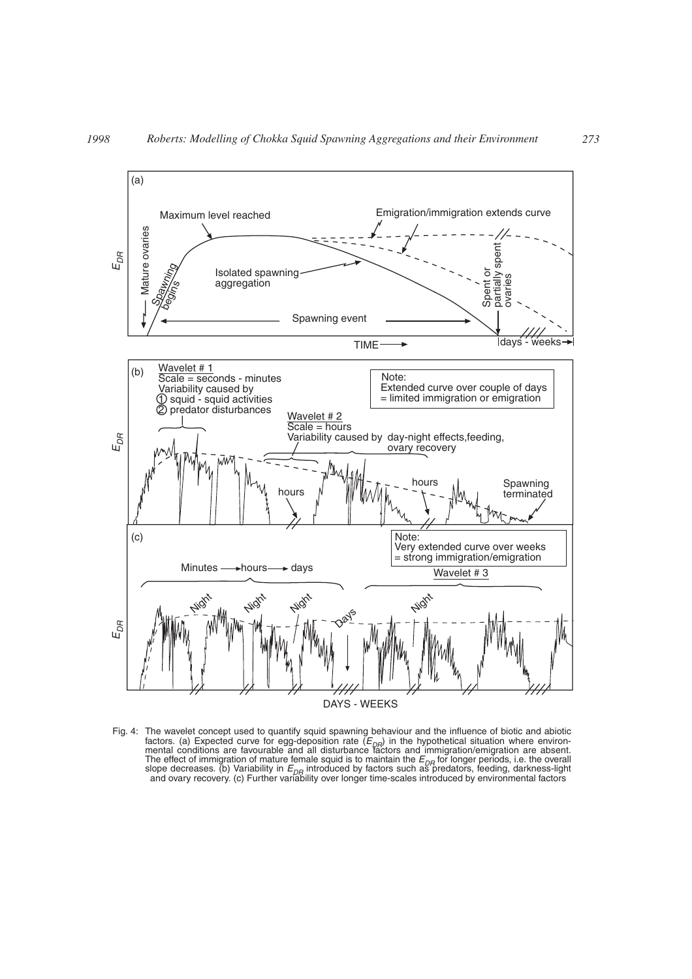

Fig. 4: The wavelet concept used to quantify squid spawning behaviour and the influence of biotic and abiotic factors. (a) Expected curve for egg-deposition rate (E<sub>DR</sub>) in the hypothetical situation where environ-<br>mental conditions are favourable and all disturbance factors and immigration/emigration are absent. The effect of immigration of mature female squid is to maintain the  $E_{DR}$  for longer periods, i.e. the overall slope decreases. (b) Variability in  $E_{\textit{DR}}$  introduced by factors such as predators, feeding, darkness-light<br>and ovary recovery. (c) Further variability over longer time-scales introduced by environmental factors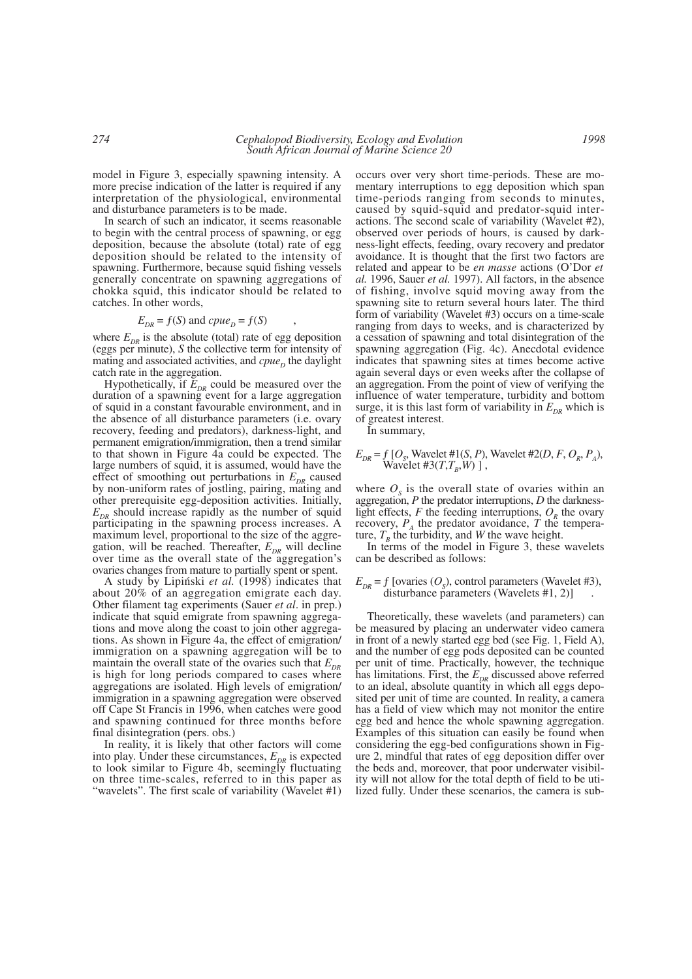model in Figure 3, especially spawning intensity. A more precise indication of the latter is required if any interpretation of the physiological, environmental and disturbance parameters is to be made.

In search of such an indicator, it seems reasonable to begin with the central process of spawning, or egg deposition, because the absolute (total) rate of egg deposition should be related to the intensity of spawning. Furthermore, because squid fishing vessels generally concentrate on spawning aggregations of chokka squid, this indicator should be related to catches. In other words,

$$
E_{DR} = f(S) \text{ and } c p u e_D = f(S) \qquad ,
$$

where  $E_{DR}$  is the absolute (total) rate of egg deposition (eggs per minute), *S* the collective term for intensity of mating and associated activities, and *cpue*<sub>D</sub> the daylight catch rate in the aggregation.

Hypothetically, if  $E_{DR}$  could be measured over the duration of a spawning event for a large aggregation of squid in a constant favourable environment, and in the absence of all disturbance parameters (i.e. ovary recovery, feeding and predators), darkness-light, and permanent emigration/immigration, then a trend similar to that shown in Figure 4a could be expected. The large numbers of squid, it is assumed, would have the effect of smoothing out perturbations in  $E_{DR}$  caused by non-uniform rates of jostling, pairing, mating and other prerequisite egg-deposition activities. Initially,  $E_{DR}$  should increase rapidly as the number of squid participating in the spawning process increases. A maximum level, proportional to the size of the aggregation, will be reached. Thereafter,  $E_{DR}$  will decline over time as the overall state of the aggregation's ovaries changes from mature to partially spent or spent.

A study by Lipin´ski *et al.* (1998) indicates that about 20% of an aggregation emigrate each day. Other filament tag experiments (Sauer *et al*. in prep.) indicate that squid emigrate from spawning aggregations and move along the coast to join other aggregations. As shown in Figure 4a, the effect of emigration/ immigration on a spawning aggregation will be to maintain the overall state of the ovaries such that  $E_{DR}$ is high for long periods compared to cases where aggregations are isolated. High levels of emigration/ immigration in a spawning aggregation were observed off Cape St Francis in 1996, when catches were good and spawning continued for three months before final disintegration (pers. obs.)

In reality, it is likely that other factors will come into play. Under these circumstances,  $E_{DR}$  is expected to look similar to Figure 4b, seemingly fluctuating on three time-scales, referred to in this paper as "wavelets". The first scale of variability (Wavelet #1)

occurs over very short time-periods. These are momentary interruptions to egg deposition which span time-periods ranging from seconds to minutes, caused by squid-squid and predator-squid interactions. The second scale of variability (Wavelet #2), observed over periods of hours, is caused by darkness-light effects, feeding, ovary recovery and predator avoidance. It is thought that the first two factors are related and appear to be *en masse* actions (O'Dor *et al.* 1996, Sauer *et al.* 1997). All factors, in the absence of fishing, involve squid moving away from the spawning site to return several hours later. The third form of variability (Wavelet #3) occurs on a time-scale ranging from days to weeks, and is characterized by a cessation of spawning and total disintegration of the spawning aggregation (Fig. 4c). Anecdotal evidence indicates that spawning sites at times become active again several days or even weeks after the collapse of an aggregation. From the point of view of verifying the influence of water temperature, turbidity and bottom surge, it is this last form of variability in  $E_{DR}$  which is of greatest interest.

In summary,

$$
E_{DR}
$$
 = f [O<sub>S</sub>, Wavelet #1(S, P), Wavelet #2(D, F, O<sub>R</sub>, P<sub>A</sub>), Wavelet #3(T, T<sub>B</sub>, W) ],

where  $O<sub>s</sub>$  is the overall state of ovaries within an aggregation, *P* the predator interruptions, *D* the darknesslight effects,  $F$  the feeding interruptions,  $O<sub>R</sub>$  the ovary recovery,  $P_{A}$  the predator avoidance, *T* the temperature,  $T<sub>B</sub>$  the turbidity, and *W* the wave height.

In terms of the model in Figure 3, these wavelets can be described as follows:

#### $E_{\text{DR}}$  = f [ovaries (O<sub>s</sub>), control parameters (Wavelet #3), disturbance parameters (Wavelets #1, 2)]

Theoretically, these wavelets (and parameters) can be measured by placing an underwater video camera in front of a newly started egg bed (see Fig. 1, Field A), and the number of egg pods deposited can be counted per unit of time. Practically, however, the technique has limitations. First, the  $E_{DR}$  discussed above referred to an ideal, absolute quantity in which all eggs deposited per unit of time are counted. In reality, a camera has a field of view which may not monitor the entire egg bed and hence the whole spawning aggregation. Examples of this situation can easily be found when considering the egg-bed configurations shown in Figure 2, mindful that rates of egg deposition differ over the beds and, moreover, that poor underwater visibility will not allow for the total depth of field to be utilized fully. Under these scenarios, the camera is sub-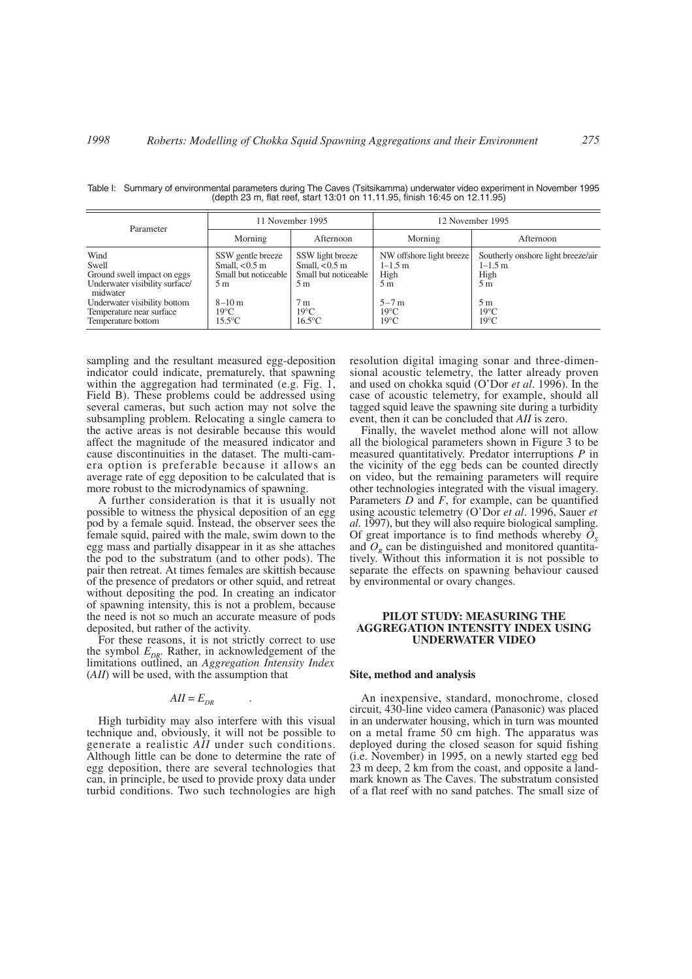| Parameter                                                                                                                                                                    | 11 November 1995                                                                                                         |                                                                                                                  | 12 November 1995                                                                                      |                                                                                                                                   |
|------------------------------------------------------------------------------------------------------------------------------------------------------------------------------|--------------------------------------------------------------------------------------------------------------------------|------------------------------------------------------------------------------------------------------------------|-------------------------------------------------------------------------------------------------------|-----------------------------------------------------------------------------------------------------------------------------------|
|                                                                                                                                                                              | Morning                                                                                                                  | Afternoon                                                                                                        | Morning                                                                                               | Afternoon                                                                                                                         |
| Wind<br>Swell<br>Ground swell impact on eggs<br>Underwater visibility surface/<br>midwater<br>Underwater visibility bottom<br>Temperature near surface<br>Temperature bottom | SSW gentle breeze<br>Small, $< 0.5$ m<br>Small but noticeable<br>5 m<br>$8 - 10$ m<br>$19^{\circ}$ C<br>$15.5^{\circ}$ C | SSW light breeze<br>Small, $< 0.5$ m<br>Small but noticeable<br>5 m<br>7 m<br>$19^{\circ}$ C<br>$16.5^{\circ}$ C | NW offshore light breeze<br>$1 - 1.5$ m<br>High<br>5m<br>$5 - 7m$<br>$19^{\circ}$ C<br>$19^{\circ}$ C | Southerly onshore light breeze/air<br>$1 - 1.5$ m<br>High<br>5 <sub>m</sub><br>5 <sub>m</sub><br>$19^{\circ}$ C<br>$19^{\circ}$ C |

Table I: Summary of environmental parameters during The Caves (Tsitsikamma) underwater video experiment in November 1995 (depth 23 m, flat reef, start 13:01 on 11.11.95, finish 16:45 on 12.11.95)

sampling and the resultant measured egg-deposition indicator could indicate, prematurely, that spawning within the aggregation had terminated (e.g. Fig. 1, Field B). These problems could be addressed using several cameras, but such action may not solve the subsampling problem. Relocating a single camera to the active areas is not desirable because this would affect the magnitude of the measured indicator and cause discontinuities in the dataset. The multi-camera option is preferable because it allows an average rate of egg deposition to be calculated that is more robust to the microdynamics of spawning.

A further consideration is that it is usually not possible to witness the physical deposition of an egg pod by a female squid. Instead, the observer sees the female squid, paired with the male, swim down to the egg mass and partially disappear in it as she attaches the pod to the substratum (and to other pods). The pair then retreat. At times females are skittish because of the presence of predators or other squid, and retreat without depositing the pod. In creating an indicator of spawning intensity, this is not a problem, because the need is not so much an accurate measure of pods deposited, but rather of the activity.

For these reasons, it is not strictly correct to use the symbol  $E_{DR}$ . Rather, in acknowledgement of the limitations outlined, an *Aggregation Intensity Index* (*AII*) will be used, with the assumption that

$$
AII = E_{DR} \qquad .
$$

High turbidity may also interfere with this visual technique and, obviously, it will not be possible to generate a realistic *AII* under such conditions. Although little can be done to determine the rate of egg deposition, there are several technologies that can, in principle, be used to provide proxy data under turbid conditions. Two such technologies are high resolution digital imaging sonar and three-dimensional acoustic telemetry*,* the latter already proven and used on chokka squid (O'Dor *et al*. 1996). In the case of acoustic telemetry, for example, should all tagged squid leave the spawning site during a turbidity event, then it can be concluded that *AII* is zero.

Finally, the wavelet method alone will not allow all the biological parameters shown in Figure 3 to be measured quantitatively. Predator interruptions *P* in the vicinity of the egg beds can be counted directly on video, but the remaining parameters will require other technologies integrated with the visual imagery. Parameters *D* and *F*, for example, can be quantified using acoustic telemetry (O'Dor *et al*. 1996, Sauer *et al*. 1997), but they will also require biological sampling. Of great importance is to find methods whereby  $O_s$ and  $O<sub>R</sub>$  can be distinguished and monitored quantitatively. Without this information it is not possible to separate the effects on spawning behaviour caused by environmental or ovary changes.

#### **PILOT STUDY: MEASURING THE AGGREGATION INTENSITY INDEX USING UNDERWATER VIDEO**

#### **Site, method and analysis**

An inexpensive, standard, monochrome, closed circuit, 430-line video camera (Panasonic) was placed in an underwater housing, which in turn was mounted on a metal frame 50 cm high. The apparatus was deployed during the closed season for squid fishing (i.e. November) in 1995, on a newly started egg bed 23 m deep, 2 km from the coast, and opposite a landmark known as The Caves. The substratum consisted of a flat reef with no sand patches. The small size of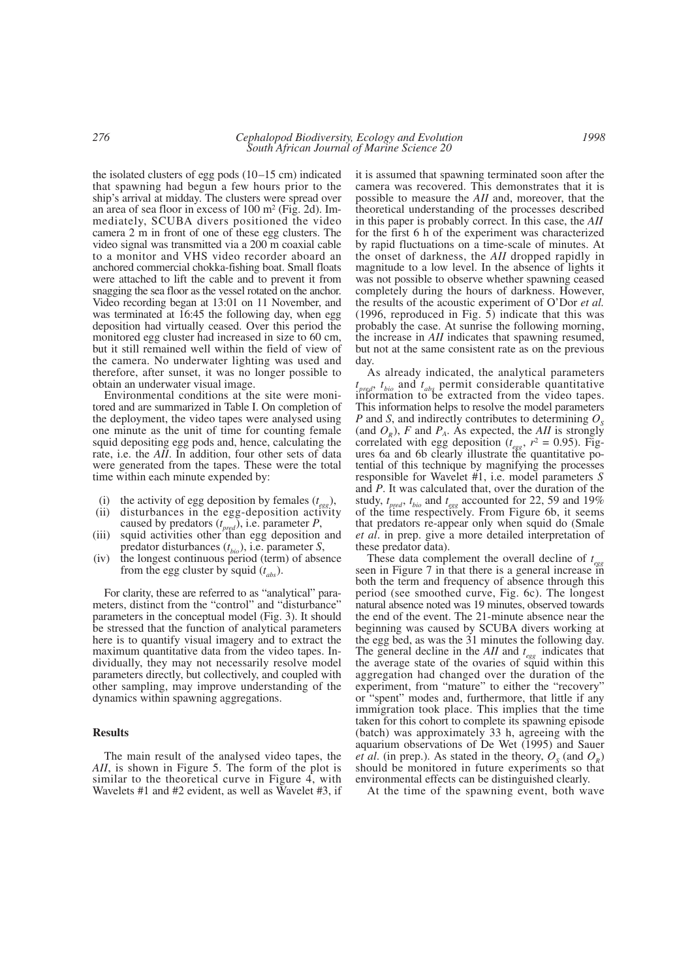the isolated clusters of egg pods (10–15 cm) indicated that spawning had begun a few hours prior to the ship's arrival at midday. The clusters were spread over an area of sea floor in excess of 100 m2 (Fig. 2d). Immediately, SCUBA divers positioned the video camera 2 m in front of one of these egg clusters. The video signal was transmitted via a 200 m coaxial cable to a monitor and VHS video recorder aboard an anchored commercial chokka-fishing boat. Small floats were attached to lift the cable and to prevent it from snagging the sea floor as the vessel rotated on the anchor. Video recording began at 13:01 on 11 November, and was terminated at 16:45 the following day, when egg deposition had virtually ceased. Over this period the monitored egg cluster had increased in size to 60 cm, but it still remained well within the field of view of the camera. No underwater lighting was used and therefore, after sunset, it was no longer possible to obtain an underwater visual image.

Environmental conditions at the site were monitored and are summarized in Table I. On completion of the deployment, the video tapes were analysed using one minute as the unit of time for counting female squid depositing egg pods and, hence, calculating the rate, i.e. the *AII*. In addition, four other sets of data were generated from the tapes. These were the total time within each minute expended by:

- (i) the activity of egg deposition by females  $(t_{\text{ggg}})$ ,
- (ii) disturbances in the egg-deposition activity caused by predators (*t pred*), i.e. parameter *P*,
- (iii) squid activities other than egg deposition and predator disturbances (*t bio*), i.e. parameter *S*,
- (iv) the longest continuous period (term) of absence from the egg cluster by squid (*t abs*).

For clarity, these are referred to as "analytical" parameters, distinct from the "control" and "disturbance" parameters in the conceptual model (Fig. 3). It should be stressed that the function of analytical parameters here is to quantify visual imagery and to extract the maximum quantitative data from the video tapes. Individually, they may not necessarily resolve model parameters directly, but collectively, and coupled with other sampling, may improve understanding of the dynamics within spawning aggregations.

#### **Results**

The main result of the analysed video tapes, the *AII*, is shown in Figure 5. The form of the plot is similar to the theoretical curve in Figure 4, with Wavelets #1 and #2 evident, as well as Wavelet #3, if it is assumed that spawning terminated soon after the camera was recovered. This demonstrates that it is possible to measure the *AII* and, moreover, that the theoretical understanding of the processes described in this paper is probably correct. In this case, the *AII* for the first 6 h of the experiment was characterized by rapid fluctuations on a time-scale of minutes. At the onset of darkness, the *AII* dropped rapidly in magnitude to a low level. In the absence of lights it was not possible to observe whether spawning ceased completely during the hours of darkness. However, the results of the acoustic experiment of O'Dor *et al.* (1996, reproduced in Fig. 5) indicate that this was probably the case. At sunrise the following morning, the increase in *AII* indicates that spawning resumed, but not at the same consistent rate as on the previous day.

As already indicated, the analytical parameters  $t_{\text{pred}}$ ,  $t_{\text{bio}}$  and  $t_{\text{abs}}$  permit considerable quantitative information to be extracted from the video tapes. This information helps to resolve the model parameters *P* and *S*, and indirectly contributes to determining  $O_5$ (and  $O<sub>R</sub>$ ), *F* and  $P<sub>A</sub>$ . As expected, the *AII* is strongly correlated with egg deposition ( $t_{egg}$ ,  $r^2 = 0.95$ ). Figures 6a and 6b clearly illustrate the quantitative potential of this technique by magnifying the processes responsible for Wavelet #1, i.e. model parameters *S* and *P*. It was calculated that, over the duration of the study,  $t_{pred}$ ,  $t_{bio}$  and  $t_{egg}$  accounted for 22, 59 and 19% of the time respectively. From Figure 6b, it seems that predators re-appear only when squid do (Smale *et al*. in prep. give a more detailed interpretation of these predator data).

These data complement the overall decline of *t* First data complement the overall decline of  $t_{eggs}$  seen in Figure 7 in that there is a general increase in both the term and frequency of absence through this period (see smoothed curve, Fig. 6c). The longest natural absence noted was 19 minutes, observed towards the end of the event. The 21-minute absence near the beginning was caused by SCUBA divers working at the egg bed, as was the 31 minutes the following day. The general decline in the *AII* and *t egg* indicates that the average state of the ovaries of squid within this aggregation had changed over the duration of the experiment, from "mature" to either the "recovery" or "spent" modes and, furthermore, that little if any immigration took place. This implies that the time taken for this cohort to complete its spawning episode (batch) was approximately 33 h, agreeing with the aquarium observations of De Wet (1995) and Sauer *et al.* (in prep.). As stated in the theory,  $O_s$  (and  $O_p$ ) should be monitored in future experiments so that environmental effects can be distinguished clearly.

At the time of the spawning event, both wave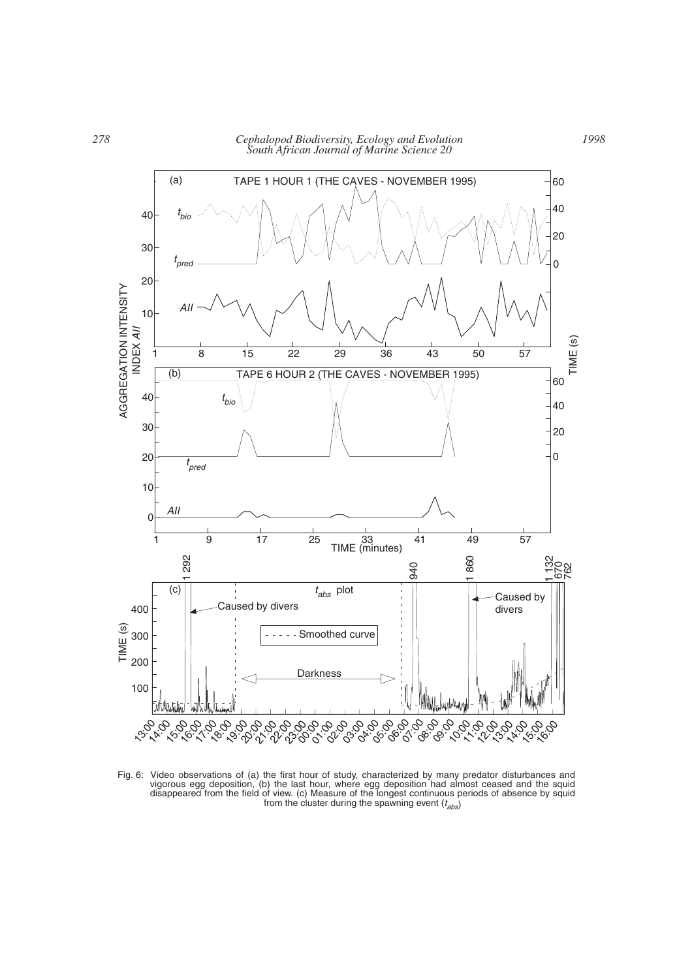

Fig. 6: Video observations of (a) the first hour of study, characterized by many predator disturbances and vigorous egg deposition, (b) the last hour, where egg deposition had almost ceased and the squid disappeared from the field of view. (c) Measure of the longest continuous periods of absence by squid from the cluster during the spawning event (*t abs*)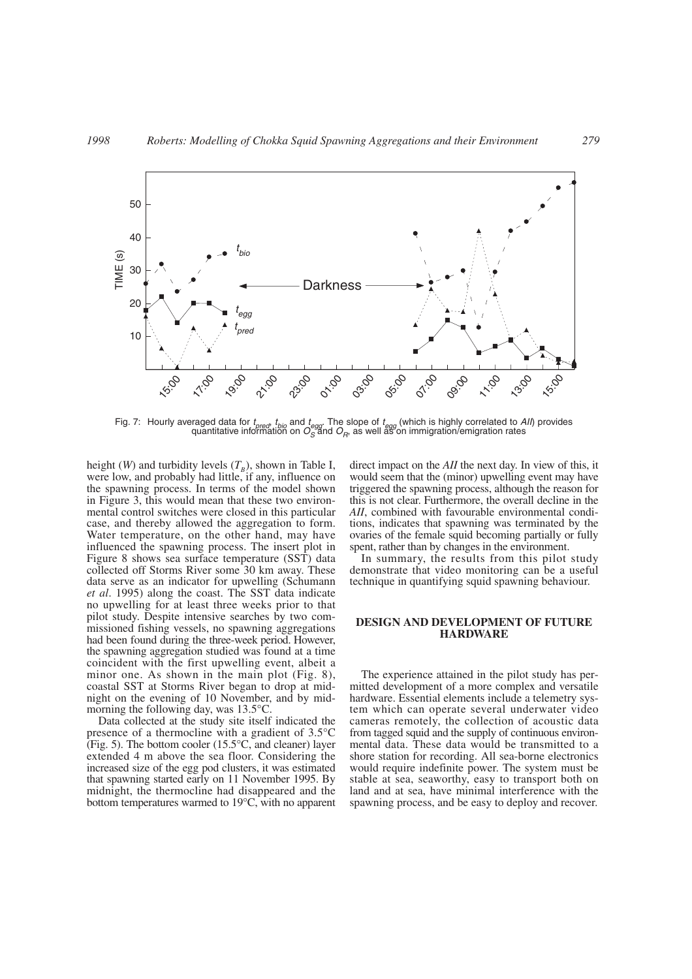

Fig. 7: Hourly averaged data for *t pred*, *t bio* and *t egg*. The slope of *t egg* (which is highly correlated to *AII*) provides quantitative information on  $O_{S}^{\mathrm{eq}}$ and  $O_{R}$ , as well as on immigration/emigration rates

height (*W*) and turbidity levels  $(T_B)$ , shown in Table I, were low, and probably had little, if any, influence on the spawning process. In terms of the model shown in Figure 3, this would mean that these two environmental control switches were closed in this particular case, and thereby allowed the aggregation to form. Water temperature, on the other hand, may have influenced the spawning process. The insert plot in Figure 8 shows sea surface temperature (SST) data collected off Storms River some 30 km away. These data serve as an indicator for upwelling (Schumann *et al*. 1995) along the coast. The SST data indicate no upwelling for at least three weeks prior to that pilot study. Despite intensive searches by two commissioned fishing vessels, no spawning aggregations had been found during the three-week period. However, the spawning aggregation studied was found at a time coincident with the first upwelling event, albeit a minor one. As shown in the main plot (Fig. 8), coastal SST at Storms River began to drop at midnight on the evening of 10 November, and by midmorning the following day, was 13.5°C.

Data collected at the study site itself indicated the presence of a thermocline with a gradient of 3.5°C (Fig. 5). The bottom cooler (15.5°C, and cleaner) layer extended 4 m above the sea floor. Considering the increased size of the egg pod clusters, it was estimated that spawning started early on 11 November 1995. By midnight, the thermocline had disappeared and the bottom temperatures warmed to 19°C, with no apparent

direct impact on the *AII* the next day. In view of this, it would seem that the (minor) upwelling event may have triggered the spawning process, although the reason for this is not clear. Furthermore, the overall decline in the *AII*, combined with favourable environmental conditions, indicates that spawning was terminated by the ovaries of the female squid becoming partially or fully spent, rather than by changes in the environment.

In summary, the results from this pilot study demonstrate that video monitoring can be a useful technique in quantifying squid spawning behaviour.

### **DESIGN AND DEVELOPMENT OF FUTURE HARDWARE**

The experience attained in the pilot study has permitted development of a more complex and versatile hardware. Essential elements include a telemetry system which can operate several underwater video cameras remotely, the collection of acoustic data from tagged squid and the supply of continuous environmental data. These data would be transmitted to a shore station for recording. All sea-borne electronics would require indefinite power. The system must be stable at sea, seaworthy, easy to transport both on land and at sea, have minimal interference with the spawning process, and be easy to deploy and recover.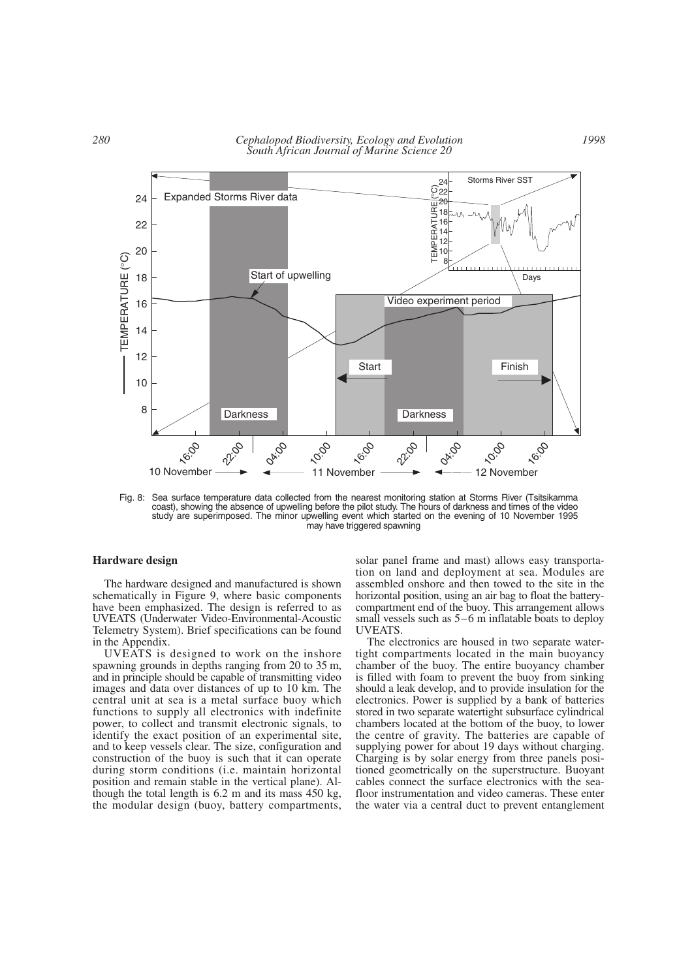

Fig. 8: Sea surface temperature data collected from the nearest monitoring station at Storms River (Tsitsikamma coast), showing the absence of upwelling before the pilot study. The hours of darkness and times of the video study are superimposed. The minor upwelling event which started on the evening of 10 November 1995 may have triggered spawning

#### **Hardware design**

The hardware designed and manufactured is shown schematically in Figure 9, where basic components have been emphasized. The design is referred to as UVEATS (Underwater Video-Environmental-Acoustic Telemetry System). Brief specifications can be found in the Appendix.

UVEATS is designed to work on the inshore spawning grounds in depths ranging from 20 to 35 m, and in principle should be capable of transmitting video images and data over distances of up to 10 km. The central unit at sea is a metal surface buoy which functions to supply all electronics with indefinite power, to collect and transmit electronic signals, to identify the exact position of an experimental site, and to keep vessels clear. The size, configuration and construction of the buoy is such that it can operate during storm conditions (i.e. maintain horizontal position and remain stable in the vertical plane). Although the total length is 6.2 m and its mass 450 kg, the modular design (buoy, battery compartments,

solar panel frame and mast) allows easy transportation on land and deployment at sea. Modules are assembled onshore and then towed to the site in the horizontal position, using an air bag to float the batterycompartment end of the buoy. This arrangement allows small vessels such as 5–6 m inflatable boats to deploy UVEATS.

The electronics are housed in two separate watertight compartments located in the main buoyancy chamber of the buoy. The entire buoyancy chamber is filled with foam to prevent the buoy from sinking should a leak develop, and to provide insulation for the electronics. Power is supplied by a bank of batteries stored in two separate watertight subsurface cylindrical chambers located at the bottom of the buoy, to lower the centre of gravity. The batteries are capable of supplying power for about 19 days without charging. Charging is by solar energy from three panels positioned geometrically on the superstructure. Buoyant cables connect the surface electronics with the seafloor instrumentation and video cameras. These enter the water via a central duct to prevent entanglement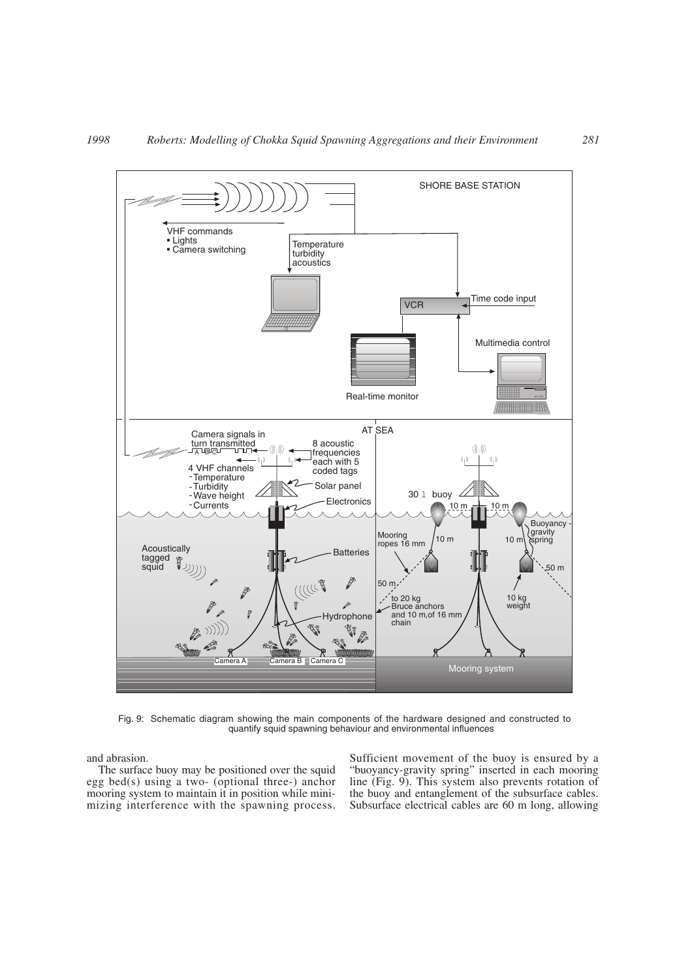

Fig. 9: Schematic diagram showing the main components of the hardware designed and constructed to quantify squid spawning behaviour and environmental influences

and abrasion.

The surface buoy may be positioned over the squid egg bed(s) using a two- (optional three-) anchor mooring system to maintain it in position while minimizing interference with the spawning process. Sufficient movement of the buoy is ensured by a "buoyancy-gravity spring" inserted in each mooring line (Fig. 9). This system also prevents rotation of the buoy and entanglement of the subsurface cables. Subsurface electrical cables are 60 m long, allowing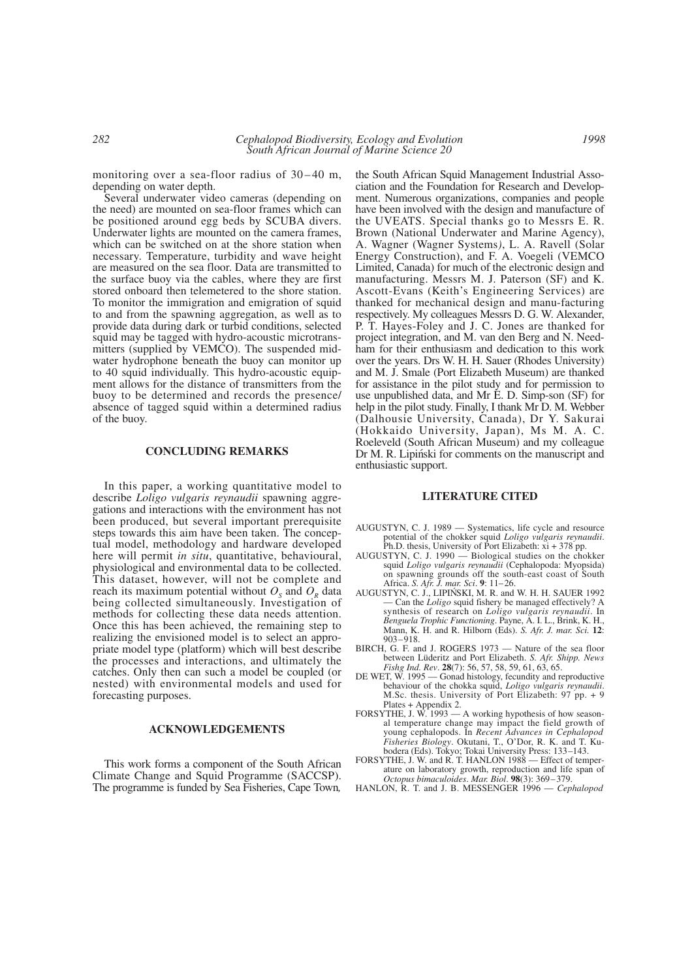monitoring over a sea-floor radius of 30–40 m, depending on water depth.

Several underwater video cameras (depending on the need) are mounted on sea-floor frames which can be positioned around egg beds by SCUBA divers. Underwater lights are mounted on the camera frames, which can be switched on at the shore station when necessary. Temperature, turbidity and wave height are measured on the sea floor. Data are transmitted to the surface buoy via the cables, where they are first stored onboard then telemetered to the shore station. To monitor the immigration and emigration of squid to and from the spawning aggregation, as well as to provide data during dark or turbid conditions, selected squid may be tagged with hydro-acoustic microtransmitters (supplied by VEMCO). The suspended midwater hydrophone beneath the buoy can monitor up to 40 squid individually. This hydro-acoustic equipment allows for the distance of transmitters from the buoy to be determined and records the presence/ absence of tagged squid within a determined radius of the buoy.

#### **CONCLUDING REMARKS**

In this paper, a working quantitative model to describe *Loligo vulgaris reynaudii* spawning aggregations and interactions with the environment has not been produced, but several important prerequisite steps towards this aim have been taken. The conceptual model, methodology and hardware developed here will permit *in situ*, quantitative, behavioural, physiological and environmental data to be collected. This dataset, however, will not be complete and reach its maximum potential without  $O_s$  and  $O_R$  data being collected simultaneously. Investigation of methods for collecting these data needs attention. Once this has been achieved, the remaining step to realizing the envisioned model is to select an appropriate model type (platform) which will best describe the processes and interactions, and ultimately the catches. Only then can such a model be coupled (or nested) with environmental models and used for forecasting purposes.

#### **ACKNOWLEDGEMENTS**

This work forms a component of the South African Climate Change and Squid Programme (SACCSP). The programme is funded by Sea Fisheries, Cape Town*,*

the South African Squid Management Industrial Association and the Foundation for Research and Development. Numerous organizations, companies and people have been involved with the design and manufacture of the UVEATS. Special thanks go to Messrs E. R. Brown (National Underwater and Marine Agency), A. Wagner (Wagner Systems*)*, L. A. Ravell (Solar Energy Construction), and F. A. Voegeli (VEMCO Limited, Canada) for much of the electronic design and manufacturing. Messrs M. J. Paterson (SF) and K. Ascott-Evans (Keith's Engineering Services) are thanked for mechanical design and manu-facturing respectively. My colleagues Messrs D. G. W. Alexander, P. T. Hayes-Foley and J. C. Jones are thanked for project integration, and M. van den Berg and N. Needham for their enthusiasm and dedication to this work over the years. Drs W. H. H. Sauer (Rhodes University) and M. J. Smale (Port Elizabeth Museum) are thanked for assistance in the pilot study and for permission to use unpublished data, and Mr E. D. Simp-son (SF) for help in the pilot study. Finally, I thank Mr D. M. Webber (Dalhousie University, Canada), Dr Y. Sakurai (Hokkaido University, Japan), Ms M. A. C. Roeleveld (South African Museum) and my colleague Dr M. R. Lipinski for comments on the manuscript and enthusiastic support.

#### **LITERATURE CITED**

- AUGUSTYN, C. J. 1989 Systematics, life cycle and resource potential of the chokker squid *Loligo vulgaris reynaudii*. Ph.D. thesis, University of Port Elizabeth:  $\overline{x}$ i + 378 pp.
- AUGUSTYN, C. J. 1990 Biological studies on the chokker squid *Loligo vulgaris reynaudii* (Cephalopoda: Myopsida) on spawning grounds off the south-east coast of South Africa. *S. Afr. J. mar. Sci*. **9**: 11–26.
- AUGUSTYN, C. J., LIPIŃSKI, M. R. and W. H. H. SAUER 1992 — Can the *Loligo* squid fishery be managed effectively? A synthesis of research on *Loligo vulgaris reynaudii*. In *Benguela Trophic Functioning*. Payne, A. I. L., Brink, K. H., Mann, K. H. and R. Hilborn (Eds). *S. Afr. J. mar. Sci.* **12**: 903–918.
- BIRCH, G. F. and J. ROGERS 1973 Nature of the sea floor between Lüderitz and Port Elizabeth. *S. Afr. Shipp. News Fishg Ind. Rev*. **28**(7): 56, 57, 58, 59, 61, 63, 65.
- DE WET, W. 1995 Gonad histology, fecundity and reproductive behaviour of the chokka squid, *Loligo vulgaris reynaudii*. M.Sc. thesis. University of Port Elizabeth: 97 pp. + 9 Plates + Appendix 2.
- FORSYTHE, J. W. 1993 A working hypothesis of how seasonal temperature change may impact the field growth of young cephalopods. In *Recent Advances in Cephalopod Fisheries Biology*. Okutani, T., O'Dor, R. K. and T. Kubodera (Eds). Tokyo; Tokai University Press: 133–143.
- FORSYTHE, J. W. and R. T. HANLON 1988 Effect of temperature on laboratory growth, reproduction and life span of *Octopus bimaculoides*. *Mar. Biol*. **98**(3): 369–379.
- HANLON, R. T. and J. B. MESSENGER 1996 *Cephalopod*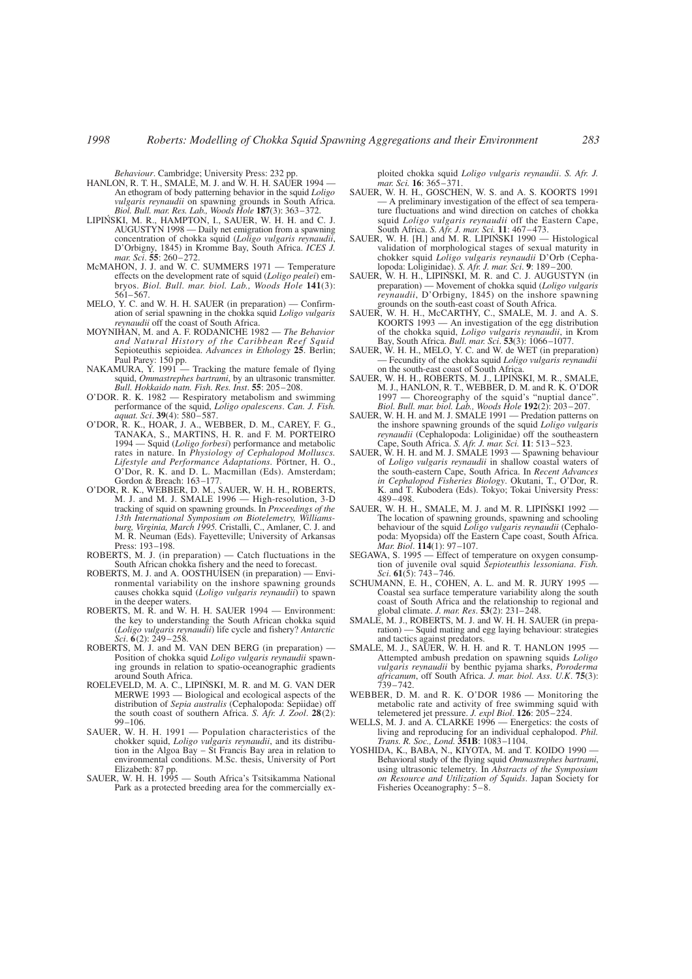*Behaviour*. Cambridge; University Press: 232 pp.

- HANLON, R. T. H., SMALE, M. J. and W. H. H. SAUER 1994 An ethogram of body patterning behavior in the squid *Loligo vulgaris reynaudii* on spawning grounds in South Africa. *Biol. Bull. mar. Res. Lab., Woods Hole* **187**(3): 363–372.
- LIPIŃSKI, M. R., HAMPTON, I., SAUER, W. H. H. and C. J. AUGUSTYN 1998 — Daily net emigration from a spawning concentration of chokka squid (*Loligo vulgaris reynaudii*, D'Orbigny, 1845) in Kromme Bay, South Africa. *ICES J. mar. Sci*. **55**: 260–272.
- McMAHON, J. J. and W. C. SUMMERS 1971 Temperature effects on the development rate of squid (*Loligo pealei*) embryos. *Biol. Bull. mar. biol. Lab., Woods Hole* **141**(3): 561–567.
- MELO, Y. C. and W. H. H. SAUER (in preparation) Confirmation of serial spawning in the chokka squid *Loligo vulgaris reynaudii* off the coast of South Africa.
- MOYNIHAN, M. and A. F. RODANICHE 1982 *The Behavior and Natural History of the Caribbean Reef Squid* Sepioteuthis sepioidea. *Advances in Ethology* **25**. Berlin; Paul Parey: 150 pp.<br>NAKAMURA, Y. 1991 -
- Tracking the mature female of flying squid, *Ommastrephes bartrami*, by an ultrasonic transmitter. *Bull. Hokkaido natn. Fish. Res. Inst*. **55**: 205–208.
- O'DOR. R. K. 1982 Respiratory metabolism and swimming performance of the squid, *Loligo opalescens*. *Can. J. Fish. aquat. Sci*. **39**(4): 580–587.
- O'DOR, R. K., HOAR, J. A., WEBBER, D. M., CAREY, F. G., TANAKA, S., MARTINS, H. R. and F. M. PORTEIRO 1994 — Squid (*Loligo forbesi*) performance and metabolic rates in nature. In *Physiology of Cephalopod Molluscs. Lifestyle and Performance Adaptations.* Pörtner, H. O., O'Dor, R. K. and D. L. Macmillan (Eds). Amsterdam; Gordon & Breach: 163–177.
- O'DOR, R. K., WEBBER, D. M., SAUER, W. H. H., ROBERTS, M. J. and M. J. SMALE 1996 — High-resolution, 3-D tracking of squid on spawning grounds. In *Proceedings of the 13th International Symposium on Biotelemetry, Williamsburg, Virginia, March 1995.* Cristalli, C., Amlaner, C. J. and M. R. Neuman (Eds). Fayetteville; University of Arkansas Press: 193–198.
- ROBERTS, M. J. (in preparation) Catch fluctuations in the South African chokka fishery and the need to forecast.
- ROBERTS, M. J. and A. OOSTHUISEN (in preparation) Environmental variability on the inshore spawning grounds causes chokka squid (*Loligo vulgaris reynaudii*) to spawn in the deeper waters.
- ROBERTS, M. R. and W. H. H. SAUER 1994 Environment: the key to understanding the South African chokka squid (*Loligo vulgaris reynaudii*) life cycle and fishery? *Antarctic Sci*. **6**(2): 249–258.
- ROBERTS, M. J. and M. VAN DEN BERG (in preparation) Position of chokka squid *Loligo vulgaris reynaudii* spawning grounds in relation to spatio-oceanographic gradients around South Africa.
- ROELEVELD, M. A. C., LIPIN´SKI, M. R. and M. G. VAN DER MERWE 1993 — Biological and ecological aspects of the distribution of *Sepia australis* (Cephalopoda: Sepiidae) off the south coast of southern Africa. *S. Afr. J. Zool*. **28**(2): 99–106.
- SAUER, W. H. H. 1991 Population characteristics of the chokker squid, *Loligo vulgaris reynaudii*, and its distribution in the Algoa Bay – St Francis Bay area in relation to environmental conditions. M.Sc. thesis, University of Port Elizabeth: 87 pp.
- SAUER, W. H. H. 1995 South Africa's Tsitsikamma National Park as a protected breeding area for the commercially ex-

ploited chokka squid *Loligo vulgaris reynaudii*. *S. Afr. J. mar. Sci.* **16**: 365–371.

- SAUER, W. H. H., GOSCHEN, W. S. and A. S. KOORTS 1991 — A preliminary investigation of the effect of sea temperature fluctuations and wind direction on catches of chokka squid *Loligo vulgaris reynaudii* off the Eastern Cape, South Africa. *S. Afr. J. mar. Sci.* **11**: 467–473.
- SAUER, W. H. [H.] and M. R. LIPIŃSKI 1990 Histological validation of morphological stages of sexual maturity in chokker squid *Loligo vulgaris reynaudii* D'Orb (Cephalopoda: Loliginidae). *S. Afr. J. mar. Sci*. **9**: 189–200.
- SAUER, W. H. H., LIPIŃSKI, M. R. and C. J. AUGUSTYN (in preparation) — Movement of chokka squid (*Loligo vulgaris reynaudii*, D'Orbigny, 1845) on the inshore spawning grounds on the south-east coast of South Africa.
- SAUER, W. H. H., McCARTHY, C., SMALE, M. J. and A. S. KOORTS 1993 — An investigation of the egg distribution of the chokka squid, *Loligo vulgaris reynaudii*, in Krom Bay, South Africa. *Bull. mar. Sci*. **53**(3): 1066–1077.
- SAUER, W. H. H., MELO, Y. C. and W. de WET (in preparation) Fecundity of the chokka squid *Loligo vulgaris reynaudii* on the south-east coast of South Africa.
- SAUER, W. H. H., ROBERTS, M. J., LIPIN´SKI, M. R., SMALE, M. J., HANLON, R. T., WEBBER, D. M. and R. K. O'DOR 1997 — Choreography of the squid's "nuptial dance". *Biol. Bull. mar. biol. Lab., Woods Hole* **192**(2): 203–207.
- SAUER, W. H. H. and M. J. SMALE 1991 Predation patterns on the inshore spawning grounds of the squid *Loligo vulgaris reynaudii* (Cephalopoda: Loliginidae) off the southeastern Cape, South Africa. *S. Afr. J. mar. Sci.* **11**: 513–523.
- SAUER, W. H. H. and M. J. SMALE 1993 Spawning behaviour of *Loligo vulgaris reynaudii* in shallow coastal waters of the south-eastern Cape, South Africa. In *Recent Advances in Cephalopod Fisheries Biology*. Okutani, T., O'Dor, R. K. and T. Kubodera (Eds). Tokyo; Tokai University Press: 489–498.
- SAUER, W. H. H., SMALE, M. J. and M. R. LIPIŃSKI 1992 -The location of spawning grounds, spawning and schooling behaviour of the squid *Loligo vulgaris reynaudii* (Cephalopoda: Myopsida) off the Eastern Cape coast, South Africa. *Mar. Biol*. **114**(1): 97–107.
- SEGAWA, S. 1995 Effect of temperature on oxygen consumption of juvenile oval squid *Sepioteuthis lessoniana*. *Fish. Sci*. **61**(5): 743–746.
- SCHUMANN, E. H., COHEN, A. L. and M. R. JURY 1995 Coastal sea surface temperature variability along the south coast of South Africa and the relationship to regional and global climate. *J. mar. Res*. **53**(2): 231–248.
- SMALE, M. J., ROBERTS, M. J. and W. H. H. SAUER (in preparation) — Squid mating and egg laying behaviour: strategies and tactics against predators.
- SMALE, M. J., SAUER, W. H. H. and R. T. HANLON 1995 -Attempted ambush predation on spawning squids *Loligo vulgaris reynaudii* by benthic pyjama sharks, *Poroderma africanum*, off South Africa. *J. mar. biol. Ass. U.K*. **75**(3): 739–742.
- WEBBER, D. M. and R. K. O'DOR 1986 Monitoring the metabolic rate and activity of free swimming squid with telemetered jet pressure. *J. expl Biol*. **126**: 205–224.
- WELLS, M. J. and A. CLARKE 1996 Energetics: the costs of living and reproducing for an individual cephalopod. *Phil. Trans. R. Soc., Lond.* **351B**: 1083–1104.
- YOSHIDA, K., BABA, N., KIYOTA, M. and T. KOIDO 1990 Behavioral study of the flying squid *Ommastrephes bartrami*, using ultrasonic telemetry. In *Abstracts of the Symposium on Resource and Utilization of Squids*. Japan Society for Fisheries Oceanography: 5–8.